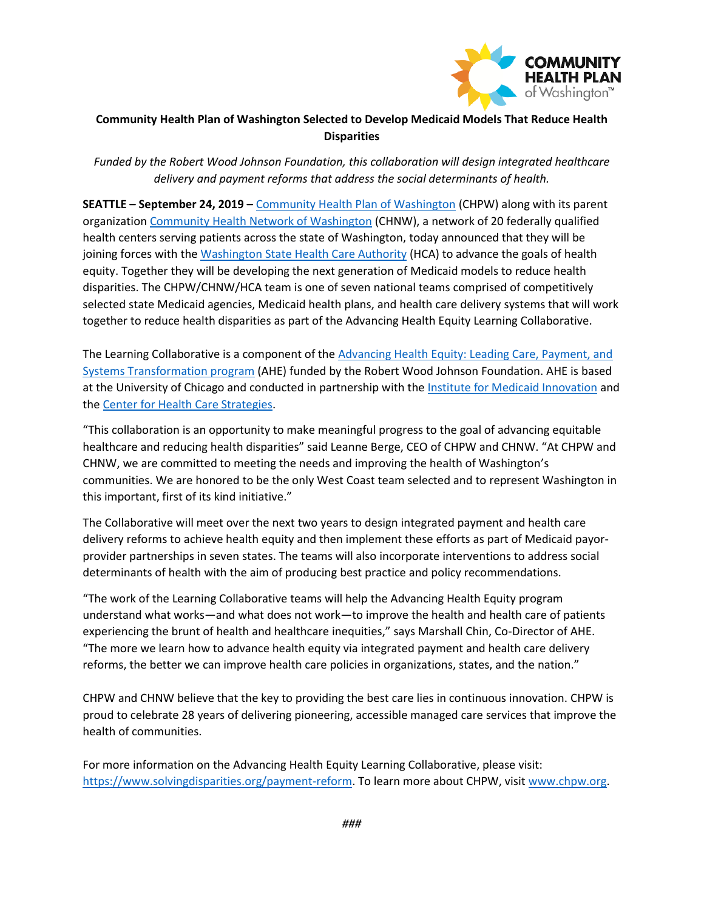

## **Community Health Plan of Washington Selected to Develop Medicaid Models That Reduce Health Disparities**

*Funded by the Robert Wood Johnson Foundation, this collaboration will design integrated healthcare delivery and payment reforms that address the social determinants of health.*

**SEATTLE – September 24, 2019 –** [Community Health Plan of Washington](https://www.chpw.org/) (CHPW) along with its parent organization [Community Health Network of Washington](https://chnw.chpw.org/) (CHNW), a network of 20 federally qualified health centers serving patients across the state of Washington, today announced that they will be joining forces with the [Washington State Health Care Authority](https://www.hca.wa.gov/) (HCA) to advance the goals of health equity. Together they will be developing the next generation of Medicaid models to reduce health disparities. The CHPW/CHNW/HCA team is one of seven national teams comprised of competitively selected state Medicaid agencies, Medicaid health plans, and health care delivery systems that will work together to reduce health disparities as part of the Advancing Health Equity Learning Collaborative.

The Learning Collaborative is a component of the Advancing Health Equity: Leading Care, Payment, and [Systems Transformation program](https://www.solvingdisparities.org/) (AHE) funded by the Robert Wood Johnson Foundation. AHE is based at the University of Chicago and conducted in partnership with the [Institute for Medicaid Innovation](https://www.medicaidinnovation.org/current-initiatives/disparities-equity) and th[e Center for Health Care Strategies.](https://www.chcs.org/project/advancing-health-equity-leading-care-payment-and-systems-transformation/)

"This collaboration is an opportunity to make meaningful progress to the goal of advancing equitable healthcare and reducing health disparities" said Leanne Berge, CEO of CHPW and CHNW. "At CHPW and CHNW, we are committed to meeting the needs and improving the health of Washington's communities. We are honored to be the only West Coast team selected and to represent Washington in this important, first of its kind initiative."

The Collaborative will meet over the next two years to design integrated payment and health care delivery reforms to achieve health equity and then implement these efforts as part of Medicaid payorprovider partnerships in seven states. The teams will also incorporate interventions to address social determinants of health with the aim of producing best practice and policy recommendations.

"The work of the Learning Collaborative teams will help the Advancing Health Equity program understand what works—and what does not work—to improve the health and health care of patients experiencing the brunt of health and healthcare inequities," says Marshall Chin, Co-Director of AHE. "The more we learn how to advance health equity via integrated payment and health care delivery reforms, the better we can improve health care policies in organizations, states, and the nation."

CHPW and CHNW believe that the key to providing the best care lies in continuous innovation. CHPW is proud to celebrate 28 years of delivering pioneering, accessible managed care services that improve the health of communities.

For more information on the Advancing Health Equity Learning Collaborative, please visit: [https://www.solvingdisparities.org/payment-reform.](https://www.solvingdisparities.org/payment-reform) To learn more about CHPW, visi[t www.chpw.org.](http://www.chpw.org/)